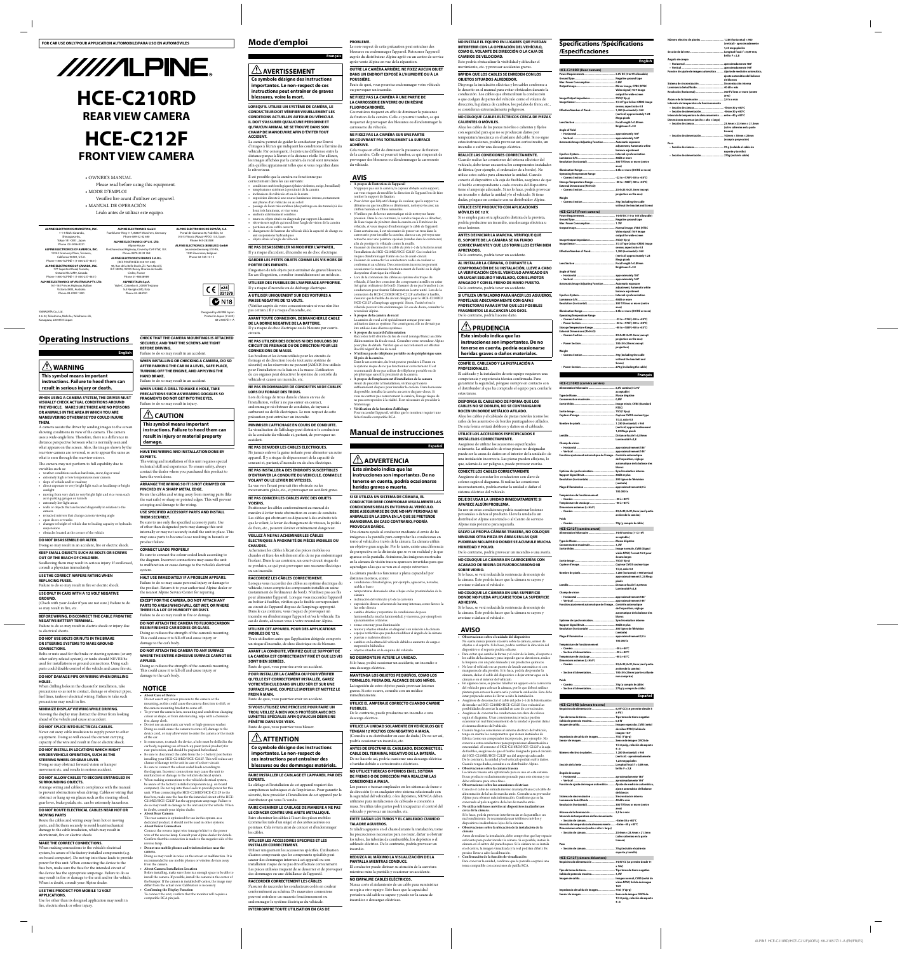

• OWNER'S MANUAL Please read before using this equipment. • MODE D'EMPLOI Veuillez lire avant d'utiliser cet appareil. • MANUAL DE OPERACIÓN Léalo antes de utilizar este equipo.

> Designed by ALPINE Japar Printed in Japan (Y-A2A) 68-21057Z11-A

 $C \in \left| \frac{e^{24}}{031379} \right|$ 

 $\mathbb{C}$  N<sub>18</sub>



A camera assists the driver by sending images to the screen showing conditions in view of the camera. The camera uses a wide-angle lens. Therefore, there is a difference in distance perspective between what is normally seen and the screen. Also, the im

• walls or objects that are located diagonally in relation to the camera

• retracted mirrors that change camera viewing angle • open doors or trunks

• changes to height of vehicle due to loading capacity or hydraulic

suspensions • obstacles located at the corner of the vehicle

# **Operating Instructions**

**English**

# **WARNING**

**This symbol means important instructions. Failure to heed them can result in serious injury or death.**

**WHEN USING A CAMERA SYSTEM, THE DRIVER MUST VISUALLY CHECK ACTUAL CONDITIONS AROUND THE VEHICLE. MAKE SURE THERE ARE NO PERSONS OR ANIMALS IN THE AREA IN WHICH YOU ARE MANEUVERING OTHERWISE YOU COULD INJURE THEM.**

rearview camera are reversed, so as to appear the same as what is seen through the rearview mirror.

The camera may not perform to full capability due to variables such as:

• weather conditions such as hard rain, snow, fog or mud • extremely high or low temperatures near camera

sunlight

moving from very dark to very bright light and vice versa such • as in parking garages or tunnels

• extremely low light areas

• slope of vehicle and/or roadway direct exposure to very bright light such as headlamp or bright •

**DO NOT DISASSEMBLE OR ALTER.**

Doing so may result in an accident, fire or electric shock.

**KEEP SMALL OBJECTS SUCH AS BOLTS OR SCREWS OUT OF THE REACH OF CHILDREN.** Swallowing them may result in serious injury. If swallowed,

consult a physician immediately.

### **USE THE CORRECT AMPERE RATING WHEN REPLACING FUSES.**

Failure to do so may result in fire or electric shock. **USE ONLY IN CARS WITH A 12 VOLT NEGATIVE** 

### **GROUND.**

(Check with your dealer if you are not sure.) Failure to do so may result in fire, etc.

**THEM SECURELY.** Be sure to use only the specified accessory parts. Use of other than designated parts may damage this unit internally or may not securely install the unit in place. This may cause parts to become loose resulting in hazards or product failure

### **BEFORE WIRING, DISCONNECT THE CABLE FROM THE NEGATIVE BATTERY TERMINAL.**

Failure to do so may result in electric shock or injury due to electrical shorts.

### **DO NOT USE BOLTS OR NUTS IN THE BRAKE OR STEERING SYSTEMS TO MAKE GROUND CONNECTIONS.**

Bolts or nuts used for the brake or steering systems (or any other safety-related system), or tanks should NEVER be used for installations or ground connections. Using such parts could disable control of the vehicle and cause fire etc.

### **DO NOT DAMAGE PIPE OR WIRING WHEN DRILLING HOLES.**

When drilling holes in the chassis for installation, take precautions so as not to contact, damage or obstruct pipes, fuel lines, tanks or electrical wiring. Failure to take such precautions may result in fire.

### **MINIMIZE DISPLAY VIEWING WHILE DRIVING.** Viewing the display may distract the driver from looking ahead of the vehicle and cause an accident.

**DO NOT SPLICE INTO ELECTRICAL CABLES.** Never cut away cable insulation to supply power to other

equipment. Doing so will exceed the current carrying capacity of the wire and result in fire or electric shock.

### **DO NOT INSTALL IN LOCATIONS WHICH MIGHT HINDER VEHICLE OPERATION, SUCH AS THE STEERING WHEEL OR GEAR LEVER.**

### • In some cases, to attach the device, a hole must be drilled in the car body, requiring use of touch-up paint (retail product) for rust-prevention, and should be prepared beforehand. • Be sure to disconnect the cable from the  $(-)$  battery post before installing your HCE-C210RD/HCE-C212F. This will reduce any chance of damage to the unit in case of a short-circuit. Be sure to connect the colour coded leads according to • the diagram. Incorrect connections may cause the unit to

Doing so may obstruct forward vision or hamper movement etc. and results in serious accident.

### **DO NOT ALLOW CABLES TO BECOME ENTANGLED IN SURROUNDING OBJECTS.**

Arrange wiring and cables in compliance with the manual to prevent obstructions when driving. Cables or wiring that obstruct or hang up on places such as the steering wheel, gear lever, brake pedals, etc. can be extremely hazardous.

### **DO NOT ROUTE ELECTRICAL CABLES NEAR HOT OR MOVING PARTS**

Route the cables and wiring away from hot or moving parts, and fix them securely to avoid heat/mechanical damage to the cable insulation, which may result in shortcircuit, fire or electric shock.

> install the camera. If possible, install the camera in the center of the bumper. If the camera is installed off-center, the image may differ from the actual view. Calibration is necessary. **Confirming the Display Function** connect the unit, confirm that the monitor will require

## **MAKE THE CORRECT CONNECTIONS.**



When making connections to the vehicle's electrical system, be aware of the factory installed components (e.g. on-board computer). Do not tap into these leads to provide power for this unit. When connecting the device to the fuse box, make sure the fuse for the intended circuit of the device has the appropriate amperage. Failure to do so may result in fire or damage to the unit and/or the vehicle. When in doubt, consult your Alpine dealer.

### **USE THIS PRODUCT FOR MOBILE 12 VOLT APPLICATIONS.**

**CHECK THAT THE CAMERA MOUNTINGS IS ATTACHED SECURELY, AND THAT THE SCREWS ARE TIGHT** 

**BEFORE DRIVING.**

Failure to do so may result in an accident.

**WHEN INSTALLING OR CHECKING A CAMERA, DO SO AFTER PARKING THE CAR IN A LEVEL, SAFE PLACE, TURNING OFF THE ENGINE, AND APPLYING THE** 

**HAND BRAKE.**

Failure to do so may result in an accident.

 $\frac{1}{2}$  CAUTION

**WHEN USING A DRILL TO MAKE A HOLE, TAKE PRECAUTIONS SUCH AS WEARING GOGGLES SO FRAGMENTS DO NOT GET INTO THE EYES.** Failure to do so may result in injury.

**This symbol means important instructions. Failure to heed them can result in injury or material property** 

nweg 510-B6

**damage.**

**HAVE THE WIRING AND INSTALLATION DONE BY EXPERTS.**

The wiring and installation of this unit requires special technical skill and experience. To ensure safety, always contact the dealer where you purchased this product to have the work done.

**ARRANGE THE WIRING SO IT IS NOT CRIMPED OR PINCHED BY A SHARP METAL EDGE.** Route the cables and wiring away from moving parts (like the seat rails) or sharp or pointed edges. This will prevent crimping and damage to the wiring.

# **USE SPECIFIED ACCESSORY PARTS AND INSTALL**

# **CONNECT LEADS PROPERLY**

Be sure to connect the colour coded leads according to the diagram. Incorrect connections may cause the unit to malfunction or cause damage to the vehicle's electrical

system.

# **HALT USE IMMEDIATELY IF A PROBLEM APPEARS.** Failure to do so may cause personal injury or damage to

the product. Return it to your authorized Alpine dealer or the nearest Alpine Service Center for repairing. **EXCEPT FOR THE CAMERA, DO NOT ATTACH ANY PARTS TO AREAS WHICH WILL GET WET, OR WHERE THERE IS A LOT OF HUMIDITY OR DUST.**

## Failure to do so may result in fire or damage. **DO NOT ATTACH THE CAMERA TO FLUOROCARBON**

**RESIN FINISHED CAR BODIES OR GLASS.** Doing so reduces the strength of the camera's mounting. This could cause it to fall off and cause injury or damage to the car's body. **DO NOT ATTACH THE CAMERA TO ANY SURFACE** 

**WHERE THE ENTIRE ADHESIVE SURFACE CANNOT BE APPLIED.** Doing so reduces the strength of the camera's mounting.

### This could cause it to fall off and cause injury or damage to the car's body.

**ATTENTION Ce symbole désigne des instructions importantes. Le non-respect de ces instructions peut entraîner des blessures ou des dommages matériels.**

# **NOTICE**

**About Care of Device** Do not assert any excess pressure to the camera or the mounting, as this could cause the camera direction to shift, or the camera mounting bracket to come off.

To prevent the camera lens, mounting and cords from changing colour or shape, or from deteriorating, wipe with a chemicalfree, damp cloth. Do not use an automatic car wash or high-pressure washer.

Doing so could cause the camera to come off, damage to the device cord, or may allow water to enter the camera or the inside of the car.

ensions hydraulic objets situés à l'angle du véhicule •

### The rear camera is optimized for use in this system. as a dedicated product, it should not be used in other systems. **About Power Connection •** Connect the reverse input wire (orange/white) to the power

malfunction or damage to the vehicle's electrical system. When making connections to the vehicle's electrical system, be aware of the factory installed components (e.g. on-board computer). Do not tap into these leads to provide power for this unit. When connecting the HCE-C210RD/HCE-C212F to the fuse box, make sure the fuse for the intended circuit of the HCE-C210RD/HCE-C212F has the appropriate amperage. Failure to do so may result in damage to the unit and/or the vehicle. When in doubt, consult your Alpine dealer. **About Rear Camera** • **•**

wire of the reverse lamp. Consult your Alpine dealer for details. Confirm that this connection is made to the negative side of the reverse lamp.

HCE-C212F a l'ampérage approprié. Sinon, I'unité et/ou le véhicule peuvent être endommagés. En cas de doute, consulter le revendeur Alpine. **À propos de la caméra de recul •** La caméra de recul a été spécialement conçue pour une être utilisée dans d'autres système

### **Do not use mobile phones and wireless devices near the • camera.**

Doing so may result in noise on the screen or malfunction. It is ended to use mobile phones or wireless devices away from the camera. **About Camera Installation Location** Before installing, make sure there is a enough space to be able to **•**

**•**

•

•

**•**

**FOR CAR USE ONLY/POUR APPLICATION AUTOMOBILE/PARA USO EN AUTOMÓVILES**

# **Mode d'emploi**

 **AVERTISSEMENT**

**instructions peut entraîner de graves** 

**blessures, voire la mort.**

**LORSQU'IL UTILISE UN SYSTÈME DE CAMÉRA, LE CONDUCTEUR DOIT VÉRIFIER VISUELLEMENT LES CONDITIONS ACTUELLES AUTOUR DU VÉHICULE. IL DOIT S'ASSURER QU'AUCUNE PERSONNE ET QU'AUCUN ANIMAL NE SE TROUVE DANS SON CHAMP DE MANOEUVRE AFIN D'ÉVITER TOUT** 

**ACCIDENT.**

La caméra permet de guider le conducteur par l'envoi

le rétroviseur.

Il est possible que la caméra ne fonctionne pas

correctement dans les cas suivants:

aux phares d'un véhicule ou au soleil

**PORTEE DES ENFANTS.**

Il y a risque d'incendie ou de décharge électrique.

**MASSE NEGATIVE DE 12 VOLTS.**

(Vérifiez auprès de votre concessionnaire si vous n'en êtes

pas certain.) Il y a risque d'incendie, etc.

**AVANT TOUTE CONNEXION, DEBRANCHER LE CABLE** 

se consideran extremadamente peligrosos. **NO COLOQUE CABLES ELÉCTRICOS CERCA DE PIEZAS CALIENTES O MÓVILES.** Aleje los cables de las piezas móviles o calientes y fíjelos con seguridad para que no se produzcan daños por temperatura/mecánica en el aislante del cable. Si no sigue estas instrucciones, podría provocar un cortocircuito, un incendio o sufrir una descarga eléctrica. **REALICE LAS CONEXIONES CORRECTAMENTE.** Cuando realice las conexiones del sistema eléctrico del vehículo, debe tener encuentra los componentes instalados de fábrica (por ejemplo, el ordenador de a bordo). No utilice estos cables para alimentar la unidad. Cuando conecte el dispositivo a la caja de fusibles, asegúrese de que el fusible correspondiente a cada circuito del dispositivo tiene el amperaje adecuado. Si no lo hace, podría provocar un incendio o dañar la unidad y/o el vehículo. Si tiene dudas, póngase en contacto con su distribuidor Alpine. **UTILICE ESTE PRODUCTO CON APLICACIONES Exter** 

**DE LA BORNE NEGATIVE DE LA BATTERIE.**

Il y a risque de choc électrique ou de blessure par courts-

circuits.

**NE PAS UTILISER DES ECROUS NI DES BOULONS DU CIRCUIT DE FREINAGE OU DE DIRECTION POUR LES** 

**CONNEXIONS DE MASSE.**

Les boulons et les écrous utilisés pour les circuits de freinage et de direction (ou de tout autre système de sécurité) ou les réservoirs ne peuvent JAMAIS être utilisés pour l'installation ou la liaison à la masse. L'utilisation de ces organes peut désactiver le système de contrôle du

véhicule et causer un incendie, etc.

**NE PAS ENDOMMAGER DE CONDUITES NI DE CABLES** 

**LORS DU FORAGE DES TROUS.**

Lors du forage de trous dans le châssis en vue de l'installation, veiller à ne pas entrer en contact, endommager ni obstruer de conduites, de tuyaux à carburant ou de fils électriques. Le non-respect de cette

précaution peut entraîner un incendie.

# **MINIMISER L'AFFICHAGE EN COURS DE CONDUITE.**

La visualisation de l'affichage peut distraire le conducteur de la conduite du véhicule et, partant, de provoquer un

accident.

**NE PAS DENUDER LES CABLES ELECTRIQUES.**  Ne jamais enlever la gaine isolante pour alimenter un autre appareil. Il y a risque de dépassement de la capacité de courant et, partant, d'incendie ou de choc électrique.

**NE PAS INSTALLER A DES ENDROITS SUSCEPTIBLES D'ENTRAVER LA CONDUITE DU VEHICULE, COMME LE VOLANT OU LE LEVIER DE VITESSES.**  La vue vers l'avant pourrait être obstruée ou les

> mouvements gênés, etc., et provoquer un accident grave. **NE PAS COINCER LES CABLES AVEC DES OBJETS VOISINS.**

**Français** blessures ou endommager l'appareil. Retourner l'appareil auprès du distributeur Alpine agréé ou un centre de service après-vente Alpine en vue de la réparation.

**Ce symbole désigne des instructions importantes. Le non-respect de ces DANS UN ENDROIT EXPOSÉ À L'HUMIDITÉ OU À LA POUSSIÈRE.** Faute de quoi, vous pourriez endommager votre véhicule

Positionner les câbles conformément au manuel de manière à éviter toute obstruction en cours de conduite. Les câbles qui obstruent ou dépassent à des endroits tels que le volant, le levier de changement de vitesses, la pédale

### de frein, etc., peuvent s'avérer extrêmement dangereux. **VEILLEZ À NE PAS ACHEMINER LES CÂBLES ÉLECTRIQUES À PROXIMITÉ DE PIÈCES MOBILES OU**

températures extrêmes à proximité de la caméra • inclinaison du véhicule et/ou de la route •

lieux très lumineux, et vice versa endroits extrêmement sombres •

**CHAUDES.** Acheminez les câbles à l'écart des pièces mobiles ou chaudes et fixez-les solidement afin de ne pas endommage l'isolant. Dans le cas contraire, un court-circuit risque de

portières et/ou coffre ouverts •

d'images à l'écran qui indiquent les conditions à l'arrière du véhicule. Par conséquent, il existe une différence entre la distance perçue à l'écran et la distance réelle. Par ailleurs, les images affichées par la caméra de recul sont inversées afin qu'elles apparaissent telles que si vous regardiez dans Cela risque en effet de diminuer la puissance de fixation provoquer des blessures ou d'endommager la carrosserie du véhicule.

### se produire, ce qui peut provoquer une secousse électrique ou un incendie. **RACCORDEZ LES CÂBLES CORRECTEMENT.** Lorsque vous raccordez des câbles au système électrique du véhicule, tenez compte des composants installés en usine (notamment de l'ordinateur de bord). N'utilisez pas ces fils

pour alimenter l'appareil. Lorsque vous raccordez l'appareil au boîtier à fusibles, vérifiez que le fusible correspondant au circuit de l'appareil dispose de l'ampérage approprié. Dans le cas contraire, vous risquez de provoquer un incendie ou d'endommager l'appareil et/ou le véhicule. En



### cas de doute, adressez-vous à votre revendeur Alpine. **UTILISER CET APPAREIL POUR DES APPLICATIONS MOBILES DE 12 V.**

Toute utilisation autre que l'application désignée comporte un risque d'incendie, de choc électrique ou de blessure.

**AVANT LA CONDUITE, VÉRIFIEZ QUE LE SUPPORT DE LA CAMÉRA EST CORRECTEMENT FIXÉ ET QUE LES VIS SONT BIEN SERRÉES.**

Faute de quoi, vous pourriez avoir un accident. **POUR INSTALLER LA CAMÉRA OU POUR VÉRIFIER QU'ELLE EST CORRECTEMENT INSTALLÉE, GAREZ** 

> **VOTRE VÉHICULE DANS UN LIEU SÛR ET SUR UNE SURFACE PLANE, COUPEZ LE MOTEUR ET METTEZ LE**

### **FREIN À MAIN.** Faute de quoi, vous pourriez avoir un accident.

**SI VOUS UTILISEZ UNE PERCEUSE POUR FAIRE UN TROU, VEILLEZ À BIEN VOUS PROTÉGER AVEC DES LUNETTES SPÉCIALES AFIN QU'AUCUN DÉBRIS NE PÉNÈTRE DANS VOS YEUX.**

# Faute de quoi, vous pourriez vous blesser.

Para conectar la unidad, confirme que la pantalla aceptará una toma compatible con conectores de patilla RCA.

## **FAIRE INSTALLER LE CABLAGE ET L'APPAREIL PAR DES EXPERTS.**

Le câblage et l'installation de cet appareil requiert des compétences techniques et de l'expérience. Pour garantir la sécurité, faire procéder à l'installation de cet appareil par le distributeur qui vous l'a vendu.

### **FAIRE CHEMINER LE CABLAGE DE MANIERE A NE PAS LE COINCER CONTRE UNE ARETE METALLIQUE.**

Faire cheminer les câbles à l'écart des pièces mobiles (comme les rails d'un siège) et des arêtes acérées ou pointues. Cela évitera ainsi de coincer et d'endommage les câbles.

### **UTILISER LES ACCESSOIRES SPECIFIES ET LES INSTALLER CORRECTEMENT.** Utiliser uniquement les accessoires spécifiés. L'utilisation

d'autres composants que les composants spécifiés peut causer des dommages internes à cet appareil ou son installation risque de ne pas être effectuée correctement. Les pièces utilisées risquent de se desserrer et de provoquer des dommages ou une défaillance de l'appareil.

conformément au schéma. De mauvaises connexions

### **PROBLEME.**

Le non-respect de cette précaution peut entraîner des

**OUTRE LA CAMÉRA ARRIÈRE, NE FIXEZ AUCUN OBJET** 

ou provoquer un incendie.

**NE FIXEZ PAS LA CAMÉRA À UNE PARTIE DE** 

**LA CARROSSERIE EN VERRE OU EN RÉSINE** 

**FLUOROCARBONÉE.** Ces matières risquent en effet de diminuer la puissance de fixation de la caméra. Celle-ci pourrait tomber, ce qui

risquerait de provoquer des blessures ou d'endommager la carrosserie du véhicule.

**NE FIXEZ PAS LA CAMÉRA SUR UNE PARTIE NE COUVRANT PAS TOTALEMENT LA SURFACE** 

conditions météorologiques (pluies violentes, neige, brouillard) • • exposition directe à une source lumineuse intense, notamment passage de lieux très sombres (des parkings ou des tunnels) à des • murs ou objets situés en diagonale par rapport à la caméra • rétroviseurs repliés qui modifient l'angle de vision de la caméra • changement de hauteur du véhicule dû à la capacité de charge ou • **NE PAS DESASSEMBLER NI MODIFIER L'APPAREIL.** Il y a risque d'accident, d'incendie ou de choc électrique. **GARDER LES PETITS OBJETS COMME LES VIS HORS DE**  L'ingestion de tels objets peut entraîner de graves blessures. En cas d'ingestion, consulter immédiatement un médecin. **UTILISER DES FUSIBLES DE L'AMPERAGE APPROPRIE. A UTILISER UNIQUEMENT SUR DES VOITURES A AVIS À propos de l'entretien de l'appareil •** tomber le support de fixation. chiffon humide en fibres naturelles. afin de protéger le véhicule contre la rouille. du système électrique du véhicule. surer que le fusible du circuit désigné pour le HCE-C210RD/ • • • •

**ADHÉSIVE.**

**70g (including the cab without the brackett and Screw)**

de la caméra. Celle-ci pourrait tomber, ce qui risquerait de

de l'exposition, réglag **automatique de la balance des** 

N'appuyez pas sur la caméra, le capteur d'objets ou le support, car vous risquez de modifier la direction de l'appareil ou de faire • Pour éviter que l'objectif change de couleur, que le support se déforme ou que les câbles se détériorent, nettoyez-les avec un N'utilisez pas de laveur automatique ni de nettoyeur haute • pression. Dans le cas contraire, la caméra risque de se détacher, de l'eau risque de pénétrer dans la caméra ou à l'intérieur du véhicule, et vous risquez d'endommager le câble de l'appareil. Dans certains cas, il est nécessaire de percer un trou dans la carrosserie pour installer la caméra ; dans ce cas, prévoyez une retouche avec une peinture spéciale (vendue dans le commerce) S'assurer de déconnecter le câble du pôle (–) de la batterie avant l'installation du HCE-C210RD/HCE-C212F. Ceci reduit les risques d'endommager l'unité en cas de court-circuit. S'assurer de connecter les conducteurs codés en couleur se conformant au schéma. Des connexions incorrectes peuvent occasionner le manuvais fonctionnement de l'unité ou le dégât Lors de la connexion des câbles au système électrique du véhicule, il faut être conscient des composants installés en usine (tel qu'un ordinateur de bord). S'assurer de ne pas brancher à ces conducteurs pour fournir l'alimentation à cette unité. Lors de la connexion du HCE-C210RD/HCE-C212F au boîtier à fusible,

> utilisation dans ce système. Par conséquent, elle ne devrait pas **À propos du raccord d'alimentation •** Raccordez le fil d'entrée du feu de recul (orange/blanc) au câble d'alimentation du feu de recul. Consultez votre revendeur Alpine pour plus de détails. Vérifiez que ce raccordement est effectué

**N'utilisez pas de téléphone portable ou de périphérique sans •** recommandé de ne pas utiliser de téléphone portable ou de

### **RACCORDER CORRECTEMENT LES CÂBLES** S'assurer de raccorder les conducteurs codés en couleur **NO EMPALME CABLES ELÉCTRICOS.**

vous ne centrez pas correctement la caméra, l'image risque de ne pas correspondre à la réalité. Il est nécessaire de procéder à

> .<br>70 g (incluido el cable sir **soporte y tornillo)**

Pour raccorder l'appareil, vérifiez que le moniteur requiert une

# fiche femelle compatible RCA.

 **ADVERTENCIA Este símbolo indica que las** 

**instrucciones son importantes. De no tenerse en cuenta, podría ocasionarse** 

**heridas graves o muerte.**

**SI SE UTILIZA UN SISTEMA DE CÁMARA, EL** 

**CONDICIONES REALES EN TORNO AL VEHÍCULO. DEBE ASEGURARSE DE QUE NO HAY PERSONAS NI ANIMALES EN LA ZONA EN LA QUE SE PRETENDE MANIOBRAR. EN CASO CONTRARIO, PODRÍA** 

**PROVOCAR DAÑOS.**

Una cámara ayuda al conductor mediante el envío de las

equivalgan a las que se ven en el espejo retrovisor. La cámara puede no funcionar a plena capacidad por

distintos motivos, como:

niebla o barro

cámara

luz solar directa

cambio drástico y repentino de condiciones de poca

aparcamientos o túneles zonas con muy poca iluminación

du côté négatif du feu de recul. **fil près de la caméra.** Dans le cas contraire, du bruit peut se produire à l'écran ou le système risque de ne pas fonctionner correctement. Il es périphérique sans fil à proximité de la caméra. **À propos de l'emplacement d'installation de la camera** Avant de procéder à l'installation, vérifiez qu'il existe suffisamment d'espace pour installer la caméra. Dans la mesure du possible, installez la caméra au centre du pare-chocs. Si l'étalonnage. **Vérification de la fonction d'affichage • •**

suspensión hidráulica

objetos situados en la esquina del vehículo • **NO DESMONTE NI ALTERE LA UNIDAD.**

Si lo hace, podrá ocasionar un accidente, un incendio o

una descarga eléctrica.

**MANTENGA LOS OBJETOS PEQUEÑOS, COMO LOS TORNILLOS, FUERA DEL ALCANCE DE LOS NIÑOS.** La ingestión de estos objetos puede provocar lesiones graves. Si esto ocurre, consulte con un médico

inmediatamente.

**FUSIBLES.**

De lo contrario, puede producirse un incendio o una

descarga eléctrica.

**TENGAN 12 VOLTIOS CON NEGATIVO A MASA.**

podría ocasionar un incendio, etc.

condiciones climatológicas, por ejemplo, aguaceros, nevadas, •

**CABLE DEL TERMINAL NEGATIVO DE LA BATERÍA.**

inclinación del vehículo y/o de la carretera •

o heridas debido a cortocircuitos eléctricos.

**NO UTILICE TUERCAS O PERNOS EN EL SISTEMA DE FRENOS O DE DIRECCIÓN PARA REALIZAR LAS** 

muros y objetos situados en diagonal con relación a la cámara •

**CONEXIONES A MASA.**

puertas o maletero abierto •

cambios en la altura del vehículo debido a aumento de carga o •

utilizarse para instalaciones de cableado o conexión a

vehículo y provocar un incendio, etc.

**TALADRE AGUJEROS.**

los tubos, las tuberías de combustible, los depósitos o el cableado eléctrico. De lo contrario, podría provocar un

incendio.

emperaturas demasiado altas o bajas en las proximidades de la

**REDUZCA AL MÁXIMO LA VISUALIZACIÓN DE LA** 

**PANTALLA MIENTRAS CONDUCE.**

El conductor puede distraer su atención de la carretera mientras mira la pantalla y ocasionar un accidente.

Nunca corte el aislamiento de un cable para suministrar energía a otro equipo. Esto hace que la capacidad portadora del cable se supere y puede ser la causa de

•

•

•

**NO INSTALE EL EQUIPO EN LUGARES QUE PUEDAN INTERFERIR CON LA OPERACIÓN DEL VEHÍCULO, COMO EL VOLANTE DE DIRECCIÓN O LA CAJA DE CAMBIOS DE VELOCIDAD.**  Esto podría obstaculizar la visibilidad y dificultar el movimiento, etc. y provocar accidentes graves. **IMPIDA QUE LOS CABLES SE ENREDEN CON LOS OBJETOS SITUADOS ALREDEDOR.**  Disponga la instalación eléctrica y los cables conforme a lo descrito en el manual para evitar obstáculos durante la conducción. Los cables que obstaculizan la conducción o que cuelgan de partes del vehículo como el volante de dirección, la palanca de cambios, los pedales de freno, etc.,

> **MÓVILES DE 12 V.** Si se emplea para otra aplicación distinta de la prevista, podría producirse un incendio, una descarga eléctrica u otras lesiones. **ANTES DE INICIAR LA MARCHA, VERIFIQUE QUE EL SOPORTE DE LA CÁMARA SE HA FIJADO CORRECTAMENTE Y QUE LOS TORNILLOS ESTÁN BIEN APRETADOS.** De lo contrario, podría tener un accidente. **AL INSTALAR LA CÁMARA, O DURANTE LA COMPROBACIÓN DE SU INSTALACIÓN, LLEVE A CABO LA VERIFICACIÓN CON EL VEHÍCULO APARCADO EN UN LUGAR SEGURO Y NIVELADO, CON EL MOTOR APAGADO Y CON EL FRENO DE MANO PUESTO.** De lo contrario, podría tener un accidente. **SI UTILIZA UN TALADRO PARA HACER LOS AGUJEROS, PROTÉJASE ADECUADAMENTE CON GAFAS PROTECTORAS PARA EVITAR QUE LOS POSIBLES FRAGMENTOS LE ALCANCEN LOS OJOS.** De lo contrario, podría hacerse daño. **/! PRUDENCIA Este símbolo indica que las instrucciones son importantes. De no tenerse en cuenta, podría ocasionarse heridas graves o daños materiales. CONFÍE EL CABLEADO Y LA INSTALACIÓN A PROFESIONALES.** El cableado y la instalación de este equipo requieren una competencia y experiencia técnica **HCE-C212F (Front camera) Angle of Field Synchro-System .................................................... Internal synchronization Luminance S/N ...................................................... 40dB or more Resolution (horizontal) ........................................ 300 TV lines or more (centre Illumination Range ............................................... 2.0lx or more (50 IRE or more) Operating Temperature Range • Power Section ................................................. -22 to +176F (-30 to +80°C) Storage Temperature Range ................................ -40 to +185F (-40 to +85°C) External Dimensions (W×H×D) • Camera Section ............................................... 23.4×23.4×21.3mm (except • Power Section ................................................. 100×50×25mm (except Weight • Power Section ................................................. 270g (including the cable)**

**Manual de instrucciones Español CONDUCTOR DEBE COMPROBAR VISUALMENTE LAS**  imágenes a la pantalla para comprobar las condiciones en torno al vehículo a través de la cámara. La cámara utiliza un objetivo gran angular. Por lo tanto, existe una diferencia de perspectiva en la distancia que se ve en realidad y la que aparece en la pantalla. Asimismo, las imágenes mostradas en la cámara de visión trasera aparecen invertidas para que exposición directa a fuentes de luz muy intensas, como faros o la • luminosidad a mucha luminosidad, y viceversa, por ejemplo en • espejos retráctiles que puedan modificar el ángulo de la cámara **UTILICE EL AMPERAJE CORRECTO CUANDO CAMBIE UTILICE LA UNIDAD SOLAMENTE EN VEHÍCULOS QUE**  (Consulte a su distribuidor en caso de duda.) De no ser así, **ANTES DE EFECTUAR EL CABLEADO, DESCONECTE EL**  De no hacerlo así, podría ocasionar una descarga eléctrica Los pernos o tuercas empleados en los sistemas de freno o de dirección (o en cualquier otro sistema relacionado con la seguridad del vehículo), o los depósitos, NUNCA deben masa. Si utiliza tales partes podrá incapacitar el control del **EVITE DAÑAR LOS TUBOS Y EL CABLEADO CUANDO**  Si taladra agujeros en el chasis durante la instalación, tome las precauciones necesarias para no rozar, dañar u obstruir De esta forma evitará dobleces y d **UTILICE LOS ACCESORIOS ESPE INSTÁLELOS CORRECTAMENTE.** Asegúrese de utilizar los accesorios utilización de otras piezas no o puede ser la causa de daños en el interior de la unidad o de una instalación incorrecta. Las piezas pueden aflojarse, lo que, además de ser peligroso, puede provocar averías. **CONECTE LOS CABLES CORRECTAMENTE** Asegúrese de conectar los conductores con clave de colores según el diagrama. Si realiza las conexiones incorrectamente, podría averiar la unidad o dañar el sistema eléctrico del vehículo. **DEJE DE USAR LA UNIDAD INMEDIATAMENTE SI APARECE ALGÚN PROBLEMA.** Su uso en estas condiciones podría ocasionar lesiones personales o daños al producto. Lleve la unidad a un distribuidor Alpine autorizado o al Centro de servicio Alpine más próximo para repararla. **SALVO LA PROPIA CÁMARA TRASERA, NO COLOQUE NINGUNA OTRA PIEZA EN ÁREAS EN LAS QUE PUDIERAN MOJARSE O DONDE SE ACUMULE MUCHA HUMEDAD Y POLVO.** De lo contrario, podría provocar un incendio o una avería. **NO COLOQUE LA CÁMARA EN CARROCERÍAS CON ACABADO DE RESINA DE FLUOROCARBONO NI SOBRE VIDRIO.** Si lo hace, se verá reducida la resistencia de montaje de la cámara. Esto podría hacer que la cámara se cayese y averiase o dañase el vehículo. **NO COLOQUE LA CÁMARA EN UNA SUPERFICIE DONDE NO PUEDA APLICARSE TODA LA SUPERFICIE ADHESIVA.** Si lo hace, se verá reducida la resistencia de montaje de la cámara. Esto podría hacer que la cámara se cayese y averiase o dañase el vehículo. **AVISO Observaciones sobre el cuidado del dispositivo** No ejerza nunca presión excesiva sobre la cámara, sensor de objetos o el soporte. Si lo hace, podría cambiar la dirección del dispositivo o el soporte podría soltarse. Para evitar que cambie la forma y el color de la lente, el soporte o los cables de la cámara y para impedir que se deterioren, realice la limpieza con un paño húmedo y sin productos químicos. No lave el vehículo en un puesto de lavado automático ni con • mangueras de alta presión. Si lo hace, podría desprender la cámara, dañar el cable del dispositivo o dejar entrar agua en la cámara o en el interior del vehículo. En algunos casos, es preciso taladrar un agujero en la carrocería • del vehículo para colocar la cámara, por lo que deberá utilizar pintura para retocar la carrocería y evitar la oxidación. Esto debe estar preparado antes de llevar a cabo la instalación. Asegúrese de desconectar el cable del polo (–) de la batería antes • de instalar su HCE-C210RD/HCE-C212F. Esto reducirá las posibilidades de averiar la unidad en caso de cortocircuito. Asegúrese de conectar los conductores con clave de colores • según el diagrama. Unas conexiones incorrectas pueden ocasionar un mal funcionamiento de la unidad o pueden dañar el sistema eléctrico del vehículo. Cuando haga las conexiones al sistema eléctrico del vehículo, • tenga en cuenta los componentes que vienen instalados de fábrica (como un computador incorporado, por ejemplo). No conecte a estos conductores para proporcionar alimentación a esta unidad. Al conectar el HCE-C210RD/HCE-C212F a la caja de fusibles, asegúrese de que el fusible designado para el circuito del HCE-C210RD/HCE-C212F sea del amperaje adecuado. De lo contrario, Ia unidad y/o el vehículo podrán sufrir daño Cuando tenga dudas, consulte a su distribuidor Alpine. **Observaciones sobre la cámara trasera •** La cámara trasera está optimizada para su uso en este sistema. Es un producto exclusivamente pensado para este sistema y no debe utilizarse para otros fines. **Observaciones sobre las conexiones eléctricas** Conecte el cable de entrada inverso (naranja/blanco) al cable de alimentación de la luz de marcha atrás. Consulte a su proveedo Alpine para obtener más información. Confirme que se ha conectado al polo negativo de la luz de marcha atrás. **No utilice teléfonos móviles ni dispositivos inalámbricos cerca de la cámara.** Si lo hace, podría provocar interferencias en la pantalla o un mal rendimiento. Se recomienda usar teléfonos móviles y dispositivos inalámbricos lejos de la cámara. **Observaciones sobre la ubicación de la instalación de la • cámara** Antes de realizar la instalación, debe comprobar que hay espacio suficiente para poder instalar la cámara. Si es posible, instale la cámara en el centro del parachoques. Si la cámara no se instala en el centro, la imagen visualizada y la real podrían diferir. Es preciso llevar a cabo la calibración. **Confirmación de la función de visualización •** • **• • • • Horizontal ....................................................... approximativement 186° • Vertical ............................................................ approximativement 144° Fonction ajustement automatique de l'image ... Contrôle automatique**  Système de synchroni **Rapport Signal/Bruit ............................................ 40dB et plus Plage d'illumination. Température de fonction Dimensions externes (L×H×P) Poids Champ de vision** • Horizontal ... Système de synchi **Plage d'illumination. Température de fonctionne Dimensions externes (L×H×P) Poids Ángulo de campo • Horizontal ....................................................... aproximadamente 186°** nancia Señal/Ruido . Alcance de la iluminación **Dimensiones externas (ancho × alto × largo) Peso HCE-C212F (cámara delantera)**

**Specifications /Spécifications /Especificaciones English**

**area)**

**• Camera Section ............................................... -22 to +176F (-30 to +80°C)**

**projection on the rear)**

**projection)**

# **Français**

| ı confirmada. Para                               |                             |                                                  |
|--------------------------------------------------|-----------------------------|--------------------------------------------------|
| iempre en contacto con                           | HCE-C210RD (caméra arrière) |                                                  |
| o el equipo para confiarle                       |                             | acceptable)                                      |
|                                                  |                             |                                                  |
| ORMA QUE LOS                                     |                             |                                                  |
|                                                  |                             |                                                  |
| <b>CONTRAIGAN NI</b>                             |                             | NTSC)                                            |
| <b>FILADO.</b>                                   |                             |                                                  |
| ezas móviles (como los                           |                             |                                                  |
| puntiagudos o afilados.<br>laños en el cableado. |                             | 1/3.8, ratio 4:3<br>(vertical) approximativement |
| <b>CIFICADOS E</b>                               |                             | 1,23 Mega pixels                                 |
|                                                  |                             | Luminosité F=2.8                                 |
| s especificados                                  | Champ de vision             |                                                  |

garantizar la seguridad, póngase si el distribuidor al que ha comprado estas tareas **DISPONGA EL CABLEADO DE F CABLES NO SE DOBLEN, NO SE ROCEN UN BORDE METÁLICO A** 

> Aleje los cables y el cableado de p raíles de los asientos) o de bordes

> > **blancs**

**Resolution (horizontale) ...................................... 300 lignes de Télévision (centrale)**

**100.000 lx**

| <b>HCE-C210RD (Rear camera)</b>                       |                                | …… ווכמו ……<br>Función de ajus |
|-------------------------------------------------------|--------------------------------|--------------------------------|
|                                                       |                                |                                |
|                                                       |                                |                                |
|                                                       |                                | Sistema de sinc                |
|                                                       |                                | Luminancia Ser                 |
|                                                       | Video signal) 16:9 Image       | Resolución (hor                |
|                                                       | output for wide-screen         |                                |
|                                                       |                                | Alcance de la ilu              |
|                                                       |                                | Intervalo de ter               |
|                                                       | sensor, aspect ratio 4:3       | • Sección de c                 |
| Effective Number of Pixels 1,280 (horizontal)× 960    |                                | • Sección de a                 |
|                                                       | (vertical) approximately 1.23  | Intervalo de tem               |
|                                                       | Mega pixels                    | <b>Dimensiones ex</b>          |
|                                                       |                                | • Sección de c                 |
|                                                       | <b>Brightness F=2.8</b>        |                                |
| Angle of Field                                        |                                |                                |
|                                                       |                                | • Sección de a                 |
|                                                       |                                |                                |
| Automatic Image Adjusting Function Automatic exposure |                                | Peso                           |
|                                                       | adjustment, Automatic white    | • Sección de c                 |
|                                                       | balance asjustment             |                                |
|                                                       |                                | · Sección de a                 |
|                                                       |                                |                                |
|                                                       |                                |                                |
|                                                       | area)                          |                                |
|                                                       |                                |                                |
| <b>Operating Temperature Range</b>                    |                                |                                |
|                                                       |                                |                                |
| Storage Temperature Range -40 to +185F (-40 to +85°C) |                                |                                |
| <b>External Dimensions (WxHxD)</b>                    |                                |                                |
|                                                       |                                |                                |
|                                                       | projection on the rear)        |                                |
| Weight                                                |                                |                                |
|                                                       |                                |                                |
|                                                       | without the bracket and Screw) |                                |
| <b>HCE-C212F (Front camera)</b>                       |                                |                                |
|                                                       |                                |                                |
|                                                       |                                |                                |
|                                                       |                                |                                |
|                                                       |                                |                                |
|                                                       | Video signal) 16:9 Image       |                                |
|                                                       | output for wide-screen         |                                |
|                                                       |                                |                                |
|                                                       |                                |                                |
|                                                       | sensor, aspect ratio 4:3       |                                |
|                                                       |                                |                                |
|                                                       | (vertical) approximately 1.23  |                                |
|                                                       | Mega pixels                    |                                |
|                                                       |                                |                                |
|                                                       | <b>Brightness F=2.8</b>        |                                |
| Angle of Field                                        |                                |                                |
|                                                       |                                |                                |
|                                                       |                                |                                |
| Automatic Image Adjusting Function Automatic exposure |                                |                                |
|                                                       | adjustment, Automatic white    |                                |
|                                                       | balance asjustment             |                                |
|                                                       |                                |                                |

(vertical) - apro **1,23 megapíxeles** Sección de la le **brillo: F = 2,8 Ángulo de campo • Horizontal ....................................................... aproximadamente 186° • Vertical ............................................................ aproximadamente 144° Función de ajuste de imagen automático .......... Ajuste de medición automático, ajuste automático del balance de blancos Sistema de sincronización ................................... Sincronización interna Luminancia Señal/Ruido ...................................... 40 dB o más Resolución (horizontal) ........................................ 300 TV lines or more (centre area) Alcance de la iluminación .................................... 2,0 lx o más Intervalo de temperatura de funcionamiento • Sección de cámara .......................................... –Entre 30 y +80°C • Sección de alimentación ................................ –Entre 30 y +80°C Intervalo de temperatura de almacenamiento ...... entre –40 y +85°C Dimensiones externas (ancho × alto × largo)**  $23.4$ mm  $\times$  23.4mm  $\times$  21.3m **(salvo salientes en la parte trasera) • Sección de alimentación ................................ 100mm × 50mm × 25mm (excepto proyección) 70 g (incluido el cable s** 

**• Caméra ............................................................ -30 à +80°C Température de stockage .................................... -40 à +85°C • Caméra ............................................................ 23,4×23,4×21,3mm (sauf partie arrière de la caméra) • Caméra ............................................................ 70g (y compris le câble) HCE-C212F (caméra avant) Alimentation Nécessaire ...................................... 14,4V continu (11 à 16V acceptable) Type de Masse ....................................................... Masse dégative Consommation maximale .................................... 1,7W Sortie Vidéo ........................................................... Image normale, CVBS (Signal vidéo NTSC) Format 16:9 pour écrans larges Sortie Image .......................................................... 75Ω (1Vp-p) Capteur d'image ................................................... Capteur CMOS couleur type 1/3,8, ratio 4:3 Nombre de pixels .................................................. 1.280 (horizontal) × 960(vertical) approximativement 1,23 Mega pixels Lentille ................................................................... Distance focale f=0,89mm Luminosité F=2,8 • Vertical ............................................................ approximativement 144° Fonction ajustement automatique de l'image ... Contrôle automatique de l'exposition, réglage automatique de la balance blancs Rapport Signal/Bruit ............................................ 40dB et plus** . 300 lignes de Télévisio **(centrale) 100.000 lx • Caméra ............................................................ -30 à +80°C • Section d'alimentation ................................... -30 à +80°C Température de stockage .................................... -40 à +85°C • Caméra ............................................................ 23,4×23,4×21,3mm (sauf partie arrière de la caméra) • Section d'alimentation ................................... 100×50×25mm (partie saillante non comprise) • Caméra ............................................................ 70g (y compris le câble) • Section d'alimentation ................................... 270g (y compris le câble) HCE-C210RD (cámara trasera) Requisitos de alimentación ................................. 6,0V CC (se permite desde 5 a 9V) Tipo de toma de tierra .......................................... Tipo toma de tierra negative Salida de potencia maxima .................................. 0,8 W Imagen de salida ................................................... Imagen especular, CVBS (señal de vídeo NTSC) Salida de imagen 16:9 Impedancia de salida de imagen ......................... 75 Ω (1 Vp-p)**

**Español**

**Sensor de imagen ................................................. Sensor de imagen CMOS de 1/3.8 pulg., relación de aspecto 4 : 3 Número efectivo de píxeles ................................. 1.280 (horizontal) × 960**  (vertical) - apro **1,23 megapíxeles Sección de la lente ................................................ Longitud focal: f = 0,89 mm, brillo: F = 2,8 • Vertical ............................................................ aproximadamente 144° Función de ajuste de imagen automático ajuste automático del balan de blancos Sistema de sincronización ................................... Sincronización interna**  $\ldots$  300 TV lines or more (cen area)<br>.. 2,0 lx o má**: Intervalo de temperatura de funcion • Sección de cámara .......................................... –Entre 30 y +80°C Intervalo de temperatura de almacenamiento ...... –Entre –40 y +85°C**

### **• Sección de cámara .......................................... 23.4mm × 23.4mm × 21.3mm (salvo salientes en la parte trasera)**

### **Requisitos de alimentación ................................. 14,4V CC (se permite desde 11 a 16V) Tipo de toma de tierra .......................................... Tipo toma de tierra negative Salida de potencia maxima .................................. 1,7W** .. Imagen normal, CVBS (señal d vídeo NTSC) Salida de imag **16:9**

**Impedancia de salida de imagen ......................... 75 Ω (1 Vp-p) Sensor de imagen ................................................. Sensor de imagen CMOS de 1/3.8 pulg., relación de aspecto** 

**4 : 3**

**Número efectivo de píxeles ................................. 1.280 (horizontal) × 960** 

**soporte y tornillo) • Sección de alimentación ................................ 270g (incluido cable)**